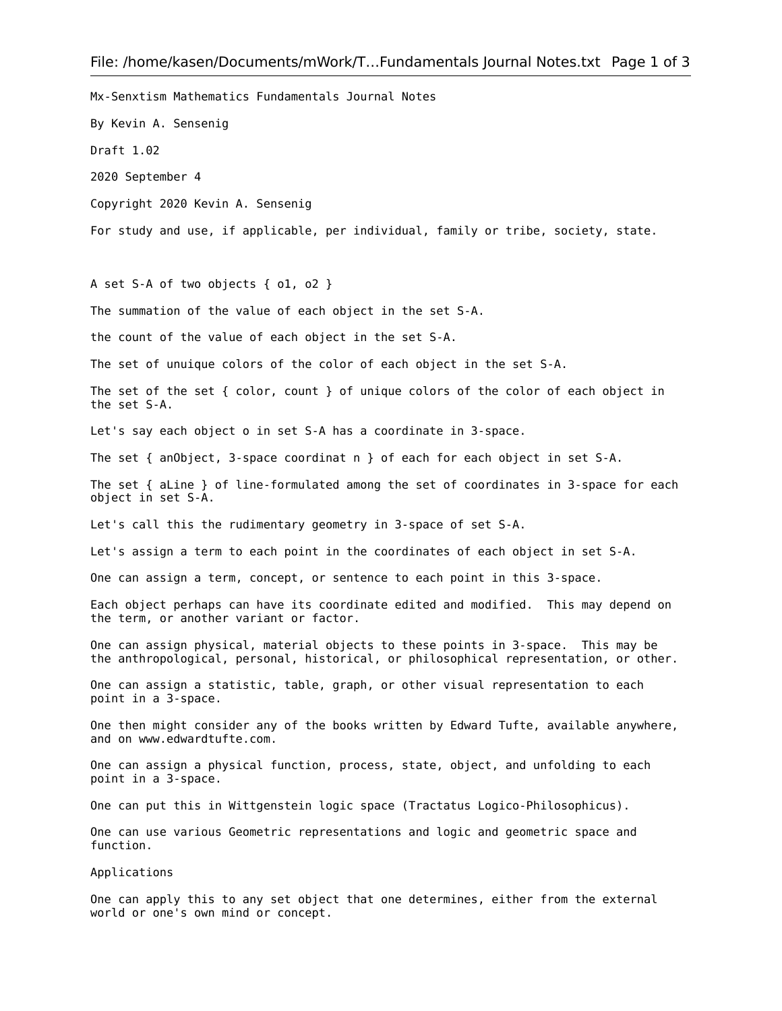Mx-Senxtism Mathematics Fundamentals Journal Notes By Kevin A. Sensenig Draft 1.02 2020 September 4 Copyright 2020 Kevin A. Sensenig For study and use, if applicable, per individual, family or tribe, society, state. A set S-A of two objects { o1, o2 } The summation of the value of each object in the set S-A. the count of the value of each object in the set S-A. The set of unuique colors of the color of each object in the set S-A. The set of the set { color, count } of unique colors of the color of each object in the set S-A. Let's say each object o in set S-A has a coordinate in 3-space. The set { anObject, 3-space coordinat n } of each for each object in set S-A. The set { aLine } of line-formulated among the set of coordinates in 3-space for each object in set S-A. Let's call this the rudimentary geometry in 3-space of set S-A. Let's assign a term to each point in the coordinates of each object in set S-A. One can assign a term, concept, or sentence to each point in this 3-space. Each object perhaps can have its coordinate edited and modified. This may depend on the term, or another variant or factor. One can assign physical, material objects to these points in 3-space. This may be the anthropological, personal, historical, or philosophical representation, or other. One can assign a statistic, table, graph, or other visual representation to each point in a 3-space. One then might consider any of the books written by Edward Tufte, available anywhere, and on www.edwardtufte.com. One can assign a physical function, process, state, object, and unfolding to each point in a 3-space. One can put this in Wittgenstein logic space (Tractatus Logico-Philosophicus). One can use various Geometric representations and logic and geometric space and function. Applications One can apply this to any set object that one determines, either from the external

world or one's own mind or concept.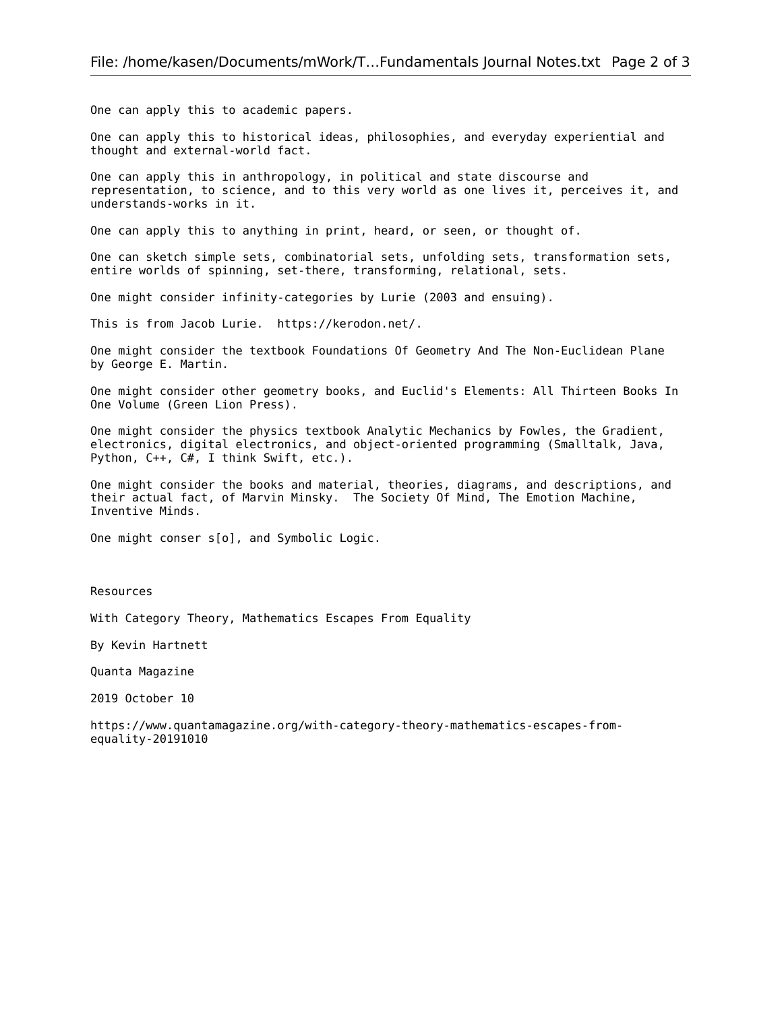One can apply this to academic papers.

One can apply this to historical ideas, philosophies, and everyday experiential and thought and external-world fact.

One can apply this in anthropology, in political and state discourse and representation, to science, and to this very world as one lives it, perceives it, and understands-works in it.

One can apply this to anything in print, heard, or seen, or thought of.

One can sketch simple sets, combinatorial sets, unfolding sets, transformation sets, entire worlds of spinning, set-there, transforming, relational, sets.

One might consider infinity-categories by Lurie (2003 and ensuing).

This is from Jacob Lurie. https://kerodon.net/.

One might consider the textbook Foundations Of Geometry And The Non-Euclidean Plane by George E. Martin.

One might consider other geometry books, and Euclid's Elements: All Thirteen Books In One Volume (Green Lion Press).

One might consider the physics textbook Analytic Mechanics by Fowles, the Gradient, electronics, digital electronics, and object-oriented programming (Smalltalk, Java, Python, C++, C#, I think Swift, etc.).

One might consider the books and material, theories, diagrams, and descriptions, and their actual fact, of Marvin Minsky. The Society Of Mind, The Emotion Machine, Inventive Minds.

One might conser s[o], and Symbolic Logic.

Resources

With Category Theory, Mathematics Escapes From Equality

By Kevin Hartnett

Quanta Magazine

2019 October 10

https://www.quantamagazine.org/with-category-theory-mathematics-escapes-fromequality-20191010